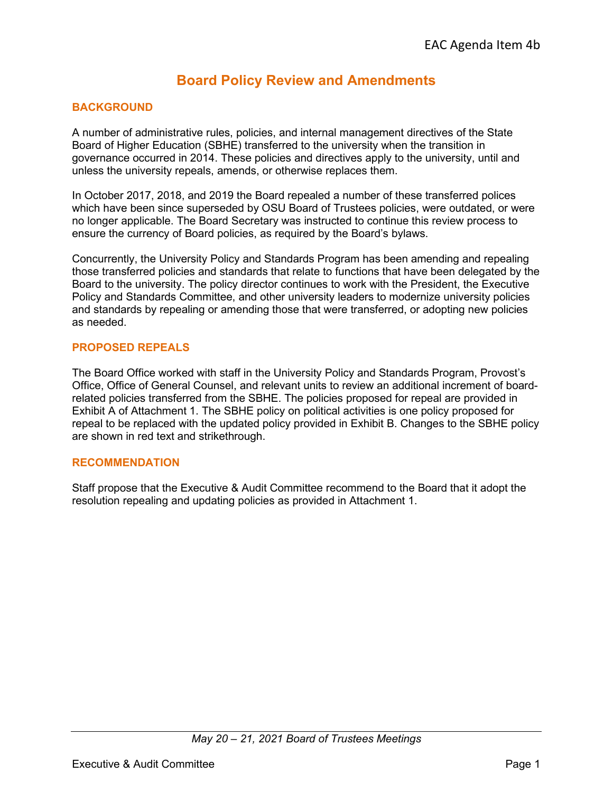# **Board Policy Review and Amendments**

### **BACKGROUND**

A number of administrative rules, policies, and internal management directives of the State Board of Higher Education (SBHE) transferred to the university when the transition in governance occurred in 2014. These policies and directives apply to the university, until and unless the university repeals, amends, or otherwise replaces them.

In October 2017, 2018, and 2019 the Board repealed a number of these transferred polices which have been since superseded by OSU Board of Trustees policies, were outdated, or were no longer applicable. The Board Secretary was instructed to continue this review process to ensure the currency of Board policies, as required by the Board's bylaws.

Concurrently, the University Policy and Standards Program has been amending and repealing those transferred policies and standards that relate to functions that have been delegated by the Board to the university. The policy director continues to work with the President, the Executive Policy and Standards Committee, and other university leaders to modernize university policies and standards by repealing or amending those that were transferred, or adopting new policies as needed.

#### **PROPOSED REPEALS**

The Board Office worked with staff in the University Policy and Standards Program, Provost's Office, Office of General Counsel, and relevant units to review an additional increment of boardrelated policies transferred from the SBHE. The policies proposed for repeal are provided in Exhibit A of Attachment 1. The SBHE policy on political activities is one policy proposed for repeal to be replaced with the updated policy provided in Exhibit B. Changes to the SBHE policy are shown in red text and strikethrough.

#### **RECOMMENDATION**

Staff propose that the Executive & Audit Committee recommend to the Board that it adopt the resolution repealing and updating policies as provided in Attachment 1.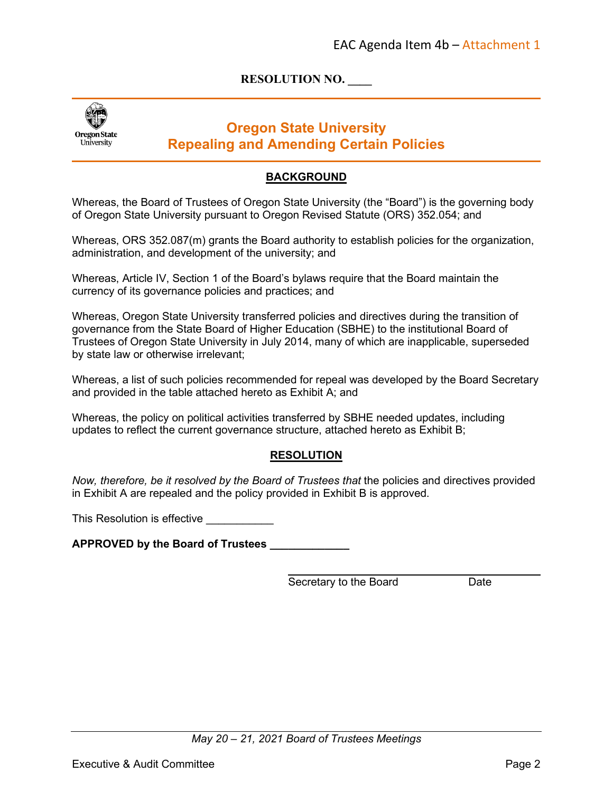# **RESOLUTION NO. \_\_\_\_**



# **Oregon State University Repealing and Amending Certain Policies**

### **BACKGROUND**

Whereas, the Board of Trustees of Oregon State University (the "Board") is the governing body of Oregon State University pursuant to Oregon Revised Statute (ORS) 352.054; and

Whereas, ORS 352.087(m) grants the Board authority to establish policies for the organization, administration, and development of the university; and

Whereas, Article IV, Section 1 of the Board's bylaws require that the Board maintain the currency of its governance policies and practices; and

Whereas, Oregon State University transferred policies and directives during the transition of governance from the State Board of Higher Education (SBHE) to the institutional Board of Trustees of Oregon State University in July 2014, many of which are inapplicable, superseded by state law or otherwise irrelevant;

Whereas, a list of such policies recommended for repeal was developed by the Board Secretary and provided in the table attached hereto as Exhibit A; and

Whereas, the policy on political activities transferred by SBHE needed updates, including updates to reflect the current governance structure, attached hereto as Exhibit B;

#### **RESOLUTION**

*Now, therefore, be it resolved by the Board of Trustees that the policies and directives provided* in Exhibit A are repealed and the policy provided in Exhibit B is approved.

This Resolution is effective

**APPROVED by the Board of Trustees \_\_\_\_\_\_\_\_\_\_\_\_\_**

Secretary to the Board Date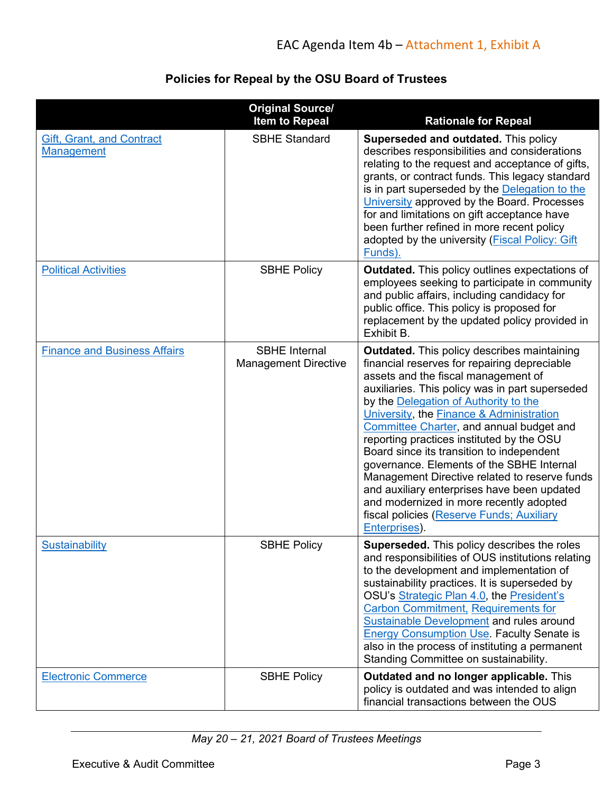# **Policies for Repeal by the OSU Board of Trustees**

|                                                       | <b>Original Source/</b><br><b>Item to Repeal</b>    | <b>Rationale for Repeal</b>                                                                                                                                                                                                                                                                                                                                                                                                                                                                                                                                                                                                                                                              |
|-------------------------------------------------------|-----------------------------------------------------|------------------------------------------------------------------------------------------------------------------------------------------------------------------------------------------------------------------------------------------------------------------------------------------------------------------------------------------------------------------------------------------------------------------------------------------------------------------------------------------------------------------------------------------------------------------------------------------------------------------------------------------------------------------------------------------|
| <b>Gift, Grant, and Contract</b><br><b>Management</b> | <b>SBHE Standard</b>                                | Superseded and outdated. This policy<br>describes responsibilities and considerations<br>relating to the request and acceptance of gifts,<br>grants, or contract funds. This legacy standard<br>is in part superseded by the Delegation to the<br>University approved by the Board. Processes<br>for and limitations on gift acceptance have<br>been further refined in more recent policy<br>adopted by the university (Fiscal Policy: Gift<br>Funds).                                                                                                                                                                                                                                  |
| <b>Political Activities</b>                           | <b>SBHE Policy</b>                                  | <b>Outdated.</b> This policy outlines expectations of<br>employees seeking to participate in community<br>and public affairs, including candidacy for<br>public office. This policy is proposed for<br>replacement by the updated policy provided in<br>Exhibit B.                                                                                                                                                                                                                                                                                                                                                                                                                       |
| <b>Finance and Business Affairs</b>                   | <b>SBHE</b> Internal<br><b>Management Directive</b> | <b>Outdated.</b> This policy describes maintaining<br>financial reserves for repairing depreciable<br>assets and the fiscal management of<br>auxiliaries. This policy was in part superseded<br>by the Delegation of Authority to the<br>University, the <b>Finance &amp; Administration</b><br>Committee Charter, and annual budget and<br>reporting practices instituted by the OSU<br>Board since its transition to independent<br>governance. Elements of the SBHE Internal<br>Management Directive related to reserve funds<br>and auxiliary enterprises have been updated<br>and modernized in more recently adopted<br>fiscal policies (Reserve Funds; Auxiliary<br>Enterprises). |
| Sustainability                                        | <b>SBHE Policy</b>                                  | Superseded. This policy describes the roles<br>and responsibilities of OUS institutions relating<br>to the development and implementation of<br>sustainability practices. It is superseded by<br>OSU's Strategic Plan 4.0, the President's<br><b>Carbon Commitment, Requirements for</b><br>Sustainable Development and rules around<br><b>Energy Consumption Use. Faculty Senate is</b><br>also in the process of instituting a permanent<br>Standing Committee on sustainability.                                                                                                                                                                                                      |
| <b>Electronic Commerce</b>                            | <b>SBHE Policy</b>                                  | Outdated and no longer applicable. This<br>policy is outdated and was intended to align<br>financial transactions between the OUS                                                                                                                                                                                                                                                                                                                                                                                                                                                                                                                                                        |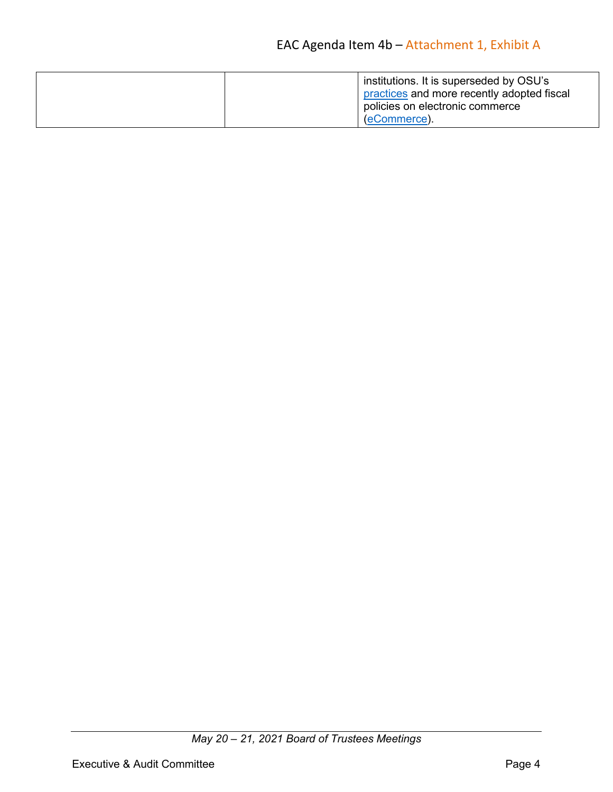| institutions. It is superseded by OSU's<br>practices and more recently adopted fiscal |
|---------------------------------------------------------------------------------------|
| policies on electronic commerce<br>(eCommerce).                                       |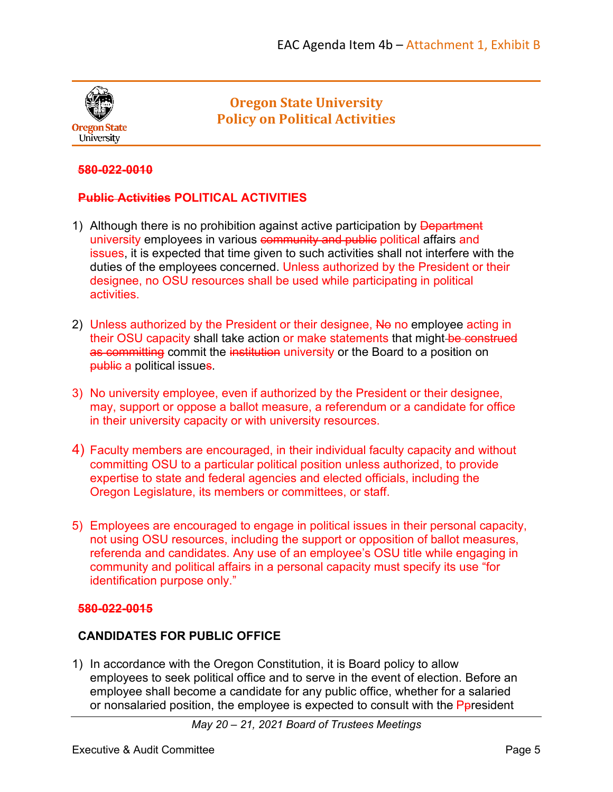

# **Oregon State University Policy on Political Activities**

### **580-022-0010**

## **Public Activities POLITICAL ACTIVITIES**

- 1) Although there is no prohibition against active participation by Department university employees in various community and public political affairs and issues, it is expected that time given to such activities shall not interfere with the duties of the employees concerned. Unless authorized by the President or their designee, no OSU resources shall be used while participating in political activities.
- 2) Unless authorized by the President or their designee, No no employee acting in their OSU capacity shall take action or make statements that might-be construed as committing commit the institution university or the Board to a position on public a political issues.
- 3) No university employee, even if authorized by the President or their designee, may, support or oppose a ballot measure, a referendum or a candidate for office in their university capacity or with university resources.
- 4) Faculty members are encouraged, in their individual faculty capacity and without committing OSU to a particular political position unless authorized, to provide expertise to state and federal agencies and elected officials, including the Oregon Legislature, its members or committees, or staff.
- 5) Employees are encouraged to engage in political issues in their personal capacity, not using OSU resources, including the support or opposition of ballot measures, referenda and candidates. Any use of an employee's OSU title while engaging in community and political affairs in a personal capacity must specify its use "for identification purpose only."

### **580-022-0015**

### **CANDIDATES FOR PUBLIC OFFICE**

1) In accordance with the Oregon Constitution, it is Board policy to allow employees to seek political office and to serve in the event of election. Before an employee shall become a candidate for any public office, whether for a salaried or nonsalaried position, the employee is expected to consult with the Ppresident